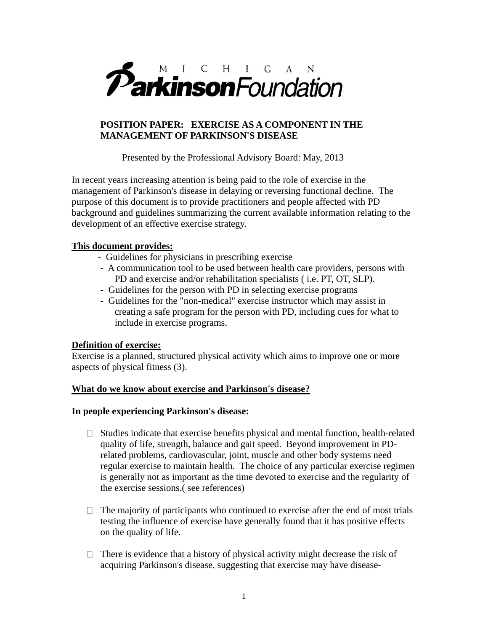

# **POSITION PAPER: EXERCISE AS A COMPONENT IN THE MANAGEMENT OF PARKINSON'S DISEASE**

Presented by the Professional Advisory Board: May, 2013

In recent years increasing attention is being paid to the role of exercise in the management of Parkinson's disease in delaying or reversing functional decline. The purpose of this document is to provide practitioners and people affected with PD background and guidelines summarizing the current available information relating to the development of an effective exercise strategy.

# **This document provides:**

- Guidelines for physicians in prescribing exercise
- A communication tool to be used between health care providers, persons with PD and exercise and/or rehabilitation specialists ( i.e. PT, OT, SLP).
- Guidelines for the person with PD in selecting exercise programs
- Guidelines for the "non-medical" exercise instructor which may assist in creating a safe program for the person with PD, including cues for what to include in exercise programs.

# **Definition of exercise:**

Exercise is a planned, structured physical activity which aims to improve one or more aspects of physical fitness (3).

### **What do we know about exercise and Parkinson's disease?**

### **In people experiencing Parkinson's disease:**

- $\Box$  Studies indicate that exercise benefits physical and mental function, health-related quality of life, strength, balance and gait speed. Beyond improvement in PDrelated problems, cardiovascular, joint, muscle and other body systems need regular exercise to maintain health. The choice of any particular exercise regimen is generally not as important as the time devoted to exercise and the regularity of the exercise sessions.( see references)
- $\Box$  The majority of participants who continued to exercise after the end of most trials testing the influence of exercise have generally found that it has positive effects on the quality of life.
- $\Box$  There is evidence that a history of physical activity might decrease the risk of acquiring Parkinson's disease, suggesting that exercise may have disease-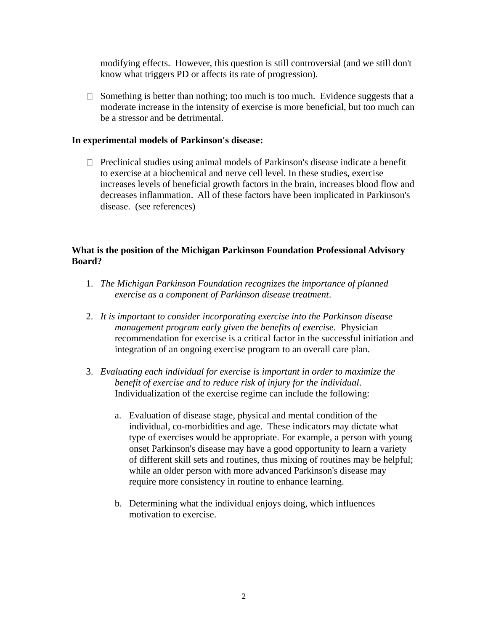modifying effects. However, this question is still controversial (and we still don't know what triggers PD or affects its rate of progression).

 $\Box$  Something is better than nothing; too much is too much. Evidence suggests that a moderate increase in the intensity of exercise is more beneficial, but too much can be a stressor and be detrimental.

#### **In experimental models of Parkinson's disease:**

 $\Box$  Preclinical studies using animal models of Parkinson's disease indicate a benefit to exercise at a biochemical and nerve cell level. In these studies, exercise increases levels of beneficial growth factors in the brain, increases blood flow and decreases inflammation. All of these factors have been implicated in Parkinson's disease. (see references)

### **What is the position of the Michigan Parkinson Foundation Professional Advisory Board?**

- 1. *The Michigan Parkinson Foundation recognizes the importance of planned exercise as a component of Parkinson disease treatment*.
- 2. *It is important to consider incorporating exercise into the Parkinson disease management program early given the benefits of exercise.* Physician recommendation for exercise is a critical factor in the successful initiation and integration of an ongoing exercise program to an overall care plan.
- 3. *Evaluating each individual for exercise is important in order to maximize the benefit of exercise and to reduce risk of injury for the individual*. Individualization of the exercise regime can include the following:
	- a. Evaluation of disease stage, physical and mental condition of the individual, co-morbidities and age. These indicators may dictate what type of exercises would be appropriate. For example, a person with young onset Parkinson's disease may have a good opportunity to learn a variety of different skill sets and routines, thus mixing of routines may be helpful; while an older person with more advanced Parkinson's disease may require more consistency in routine to enhance learning.
	- b. Determining what the individual enjoys doing, which influences motivation to exercise.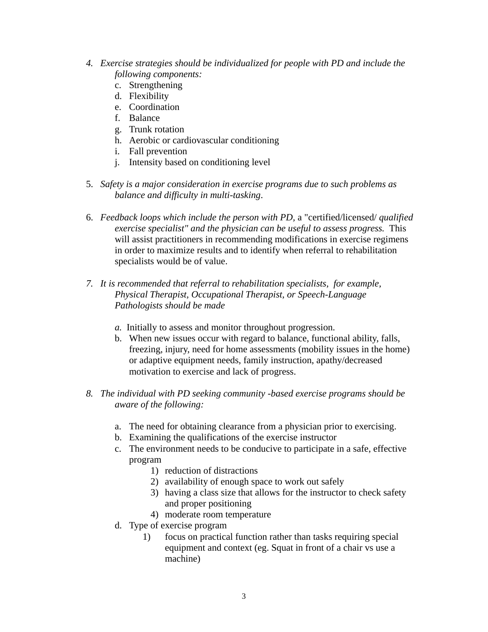- *4. Exercise strategies should be individualized for people with PD and include the following components:*
	- c. Strengthening
	- d. Flexibility
	- e. Coordination
	- f. Balance
	- g. Trunk rotation
	- h. Aerobic or cardiovascular conditioning
	- i. Fall prevention
	- j. Intensity based on conditioning level
- 5. *Safety is a major consideration in exercise programs due to such problems as balance and difficulty in multi-tasking*.
- 6. *Feedback loops which include the person with PD,* a "certified/licensed/ *qualified exercise specialist" and the physician can be useful to assess progress.* This will assist practitioners in recommending modifications in exercise regimens in order to maximize results and to identify when referral to rehabilitation specialists would be of value.
- *7. It is recommended that referral to rehabilitation specialists, for example, Physical Therapist, Occupational Therapist, or Speech-Language Pathologists should be made*
	- *a.* Initially to assess and monitor throughout progression.
	- b. When new issues occur with regard to balance, functional ability, falls, freezing, injury, need for home assessments (mobility issues in the home) or adaptive equipment needs, family instruction, apathy/decreased motivation to exercise and lack of progress.
- *8. The individual with PD seeking community -based exercise programs should be aware of the following:*
	- a. The need for obtaining clearance from a physician prior to exercising.
	- b. Examining the qualifications of the exercise instructor
	- c. The environment needs to be conducive to participate in a safe, effective program
		- 1) reduction of distractions
		- 2) availability of enough space to work out safely
		- 3) having a class size that allows for the instructor to check safety and proper positioning
		- 4) moderate room temperature
	- d. Type of exercise program
		- 1) focus on practical function rather than tasks requiring special equipment and context (eg. Squat in front of a chair vs use a machine)